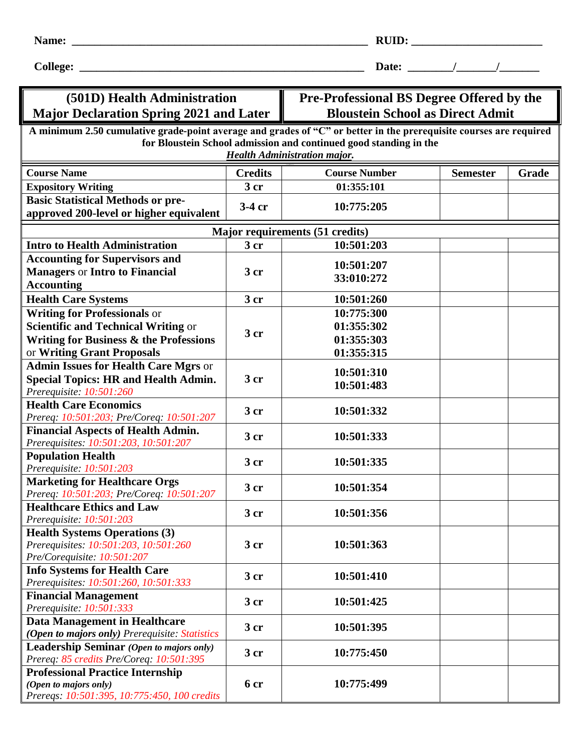| יי<br>UID: |  |
|------------|--|
|            |  |

**College: \_\_\_\_\_\_\_\_\_\_\_\_\_\_\_\_\_\_\_\_\_\_\_\_\_\_\_\_\_\_\_\_\_\_\_\_\_\_\_\_\_\_\_\_\_\_\_\_\_\_ Date: \_\_\_\_\_\_\_\_/\_\_\_\_\_\_\_/\_\_\_\_\_\_\_**

## **(501D) Health Administration Major Declaration Spring 2021 and Later**

## **Pre-Professional BS Degree Offered by the Bloustein School as Direct Admit**

| Major Declaration Spring 2021 and Later                                                                                                                                                                                        |                 | <b>Bloustein School as Direct Admit</b> |                 |       |  |  |  |
|--------------------------------------------------------------------------------------------------------------------------------------------------------------------------------------------------------------------------------|-----------------|-----------------------------------------|-----------------|-------|--|--|--|
| A minimum 2.50 cumulative grade-point average and grades of "C" or better in the prerequisite courses are required<br>for Bloustein School admission and continued good standing in the<br><b>Health Administration major.</b> |                 |                                         |                 |       |  |  |  |
| <b>Course Name</b>                                                                                                                                                                                                             | <b>Credits</b>  | <b>Course Number</b>                    | <b>Semester</b> | Grade |  |  |  |
| <b>Expository Writing</b>                                                                                                                                                                                                      | 3 cr            | 01:355:101                              |                 |       |  |  |  |
| <b>Basic Statistical Methods or pre-</b>                                                                                                                                                                                       |                 |                                         |                 |       |  |  |  |
| approved 200-level or higher equivalent                                                                                                                                                                                        | 3-4 cr          | 10:775:205                              |                 |       |  |  |  |
| Major requirements (51 credits)                                                                                                                                                                                                |                 |                                         |                 |       |  |  |  |
| <b>Intro to Health Administration</b>                                                                                                                                                                                          | 3 <sub>cr</sub> | 10:501:203                              |                 |       |  |  |  |
| <b>Accounting for Supervisors and</b>                                                                                                                                                                                          |                 |                                         |                 |       |  |  |  |
| <b>Managers or Intro to Financial</b>                                                                                                                                                                                          | 3 cr            | 10:501:207                              |                 |       |  |  |  |
| <b>Accounting</b>                                                                                                                                                                                                              |                 | 33:010:272                              |                 |       |  |  |  |
| <b>Health Care Systems</b>                                                                                                                                                                                                     | 3 <sub>cr</sub> | 10:501:260                              |                 |       |  |  |  |
| <b>Writing for Professionals or</b>                                                                                                                                                                                            |                 | 10:775:300                              |                 |       |  |  |  |
| <b>Scientific and Technical Writing or</b>                                                                                                                                                                                     |                 | 01:355:302                              |                 |       |  |  |  |
| <b>Writing for Business &amp; the Professions</b>                                                                                                                                                                              | 3 <sub>cr</sub> | 01:355:303                              |                 |       |  |  |  |
| or Writing Grant Proposals                                                                                                                                                                                                     |                 | 01:355:315                              |                 |       |  |  |  |
| <b>Admin Issues for Health Care Mgrs or</b>                                                                                                                                                                                    |                 |                                         |                 |       |  |  |  |
| <b>Special Topics: HR and Health Admin.</b>                                                                                                                                                                                    | 3 <sub>cr</sub> | 10:501:310                              |                 |       |  |  |  |
| Prerequisite: 10:501:260                                                                                                                                                                                                       |                 | 10:501:483                              |                 |       |  |  |  |
| <b>Health Care Economics</b>                                                                                                                                                                                                   |                 |                                         |                 |       |  |  |  |
| Prereq: 10:501:203; Pre/Coreq: 10:501:207                                                                                                                                                                                      | 3 <sub>cr</sub> | 10:501:332                              |                 |       |  |  |  |
| <b>Financial Aspects of Health Admin.</b>                                                                                                                                                                                      | 3 cr            | 10:501:333                              |                 |       |  |  |  |
| Prerequisites: 10:501:203, 10:501:207                                                                                                                                                                                          |                 |                                         |                 |       |  |  |  |
| <b>Population Health</b>                                                                                                                                                                                                       | 3 cr            | 10:501:335                              |                 |       |  |  |  |
| Prerequisite: 10:501:203                                                                                                                                                                                                       |                 |                                         |                 |       |  |  |  |
| <b>Marketing for Healthcare Orgs</b>                                                                                                                                                                                           | 3 cr            | 10:501:354                              |                 |       |  |  |  |
| Prereq: 10:501:203; Pre/Coreq: 10:501:207                                                                                                                                                                                      |                 |                                         |                 |       |  |  |  |
| <b>Healthcare Ethics and Law</b>                                                                                                                                                                                               | 3 <sub>cr</sub> | 10:501:356                              |                 |       |  |  |  |
| Prerequisite: 10:501:203                                                                                                                                                                                                       |                 |                                         |                 |       |  |  |  |
| <b>Health Systems Operations (3)</b>                                                                                                                                                                                           | 3 <sub>cr</sub> |                                         |                 |       |  |  |  |
| Prerequisites: 10:501:203, 10:501:260<br>Pre/Corequisite: 10:501:207                                                                                                                                                           |                 | 10:501:363                              |                 |       |  |  |  |
| <b>Info Systems for Health Care</b>                                                                                                                                                                                            |                 |                                         |                 |       |  |  |  |
| Prerequisites: 10:501:260, 10:501:333                                                                                                                                                                                          | 3 cr            | 10:501:410                              |                 |       |  |  |  |
| <b>Financial Management</b>                                                                                                                                                                                                    |                 |                                         |                 |       |  |  |  |
| Prerequisite: 10:501:333                                                                                                                                                                                                       | 3 cr            | 10:501:425                              |                 |       |  |  |  |
| <b>Data Management in Healthcare</b>                                                                                                                                                                                           |                 | 10:501:395                              |                 |       |  |  |  |
| (Open to majors only) Prerequisite: Statistics                                                                                                                                                                                 | 3 <sub>cr</sub> |                                         |                 |       |  |  |  |
| <b>Leadership Seminar</b> (Open to majors only)                                                                                                                                                                                | 3 cr            | 10:775:450                              |                 |       |  |  |  |
| Prereq: 85 credits Pre/Coreq: 10:501:395                                                                                                                                                                                       |                 |                                         |                 |       |  |  |  |
| <b>Professional Practice Internship</b>                                                                                                                                                                                        |                 |                                         |                 |       |  |  |  |
| (Open to majors only)                                                                                                                                                                                                          | 6 cr            | 10:775:499                              |                 |       |  |  |  |
| Prereqs: 10:501:395, 10:775:450, 100 credits                                                                                                                                                                                   |                 |                                         |                 |       |  |  |  |